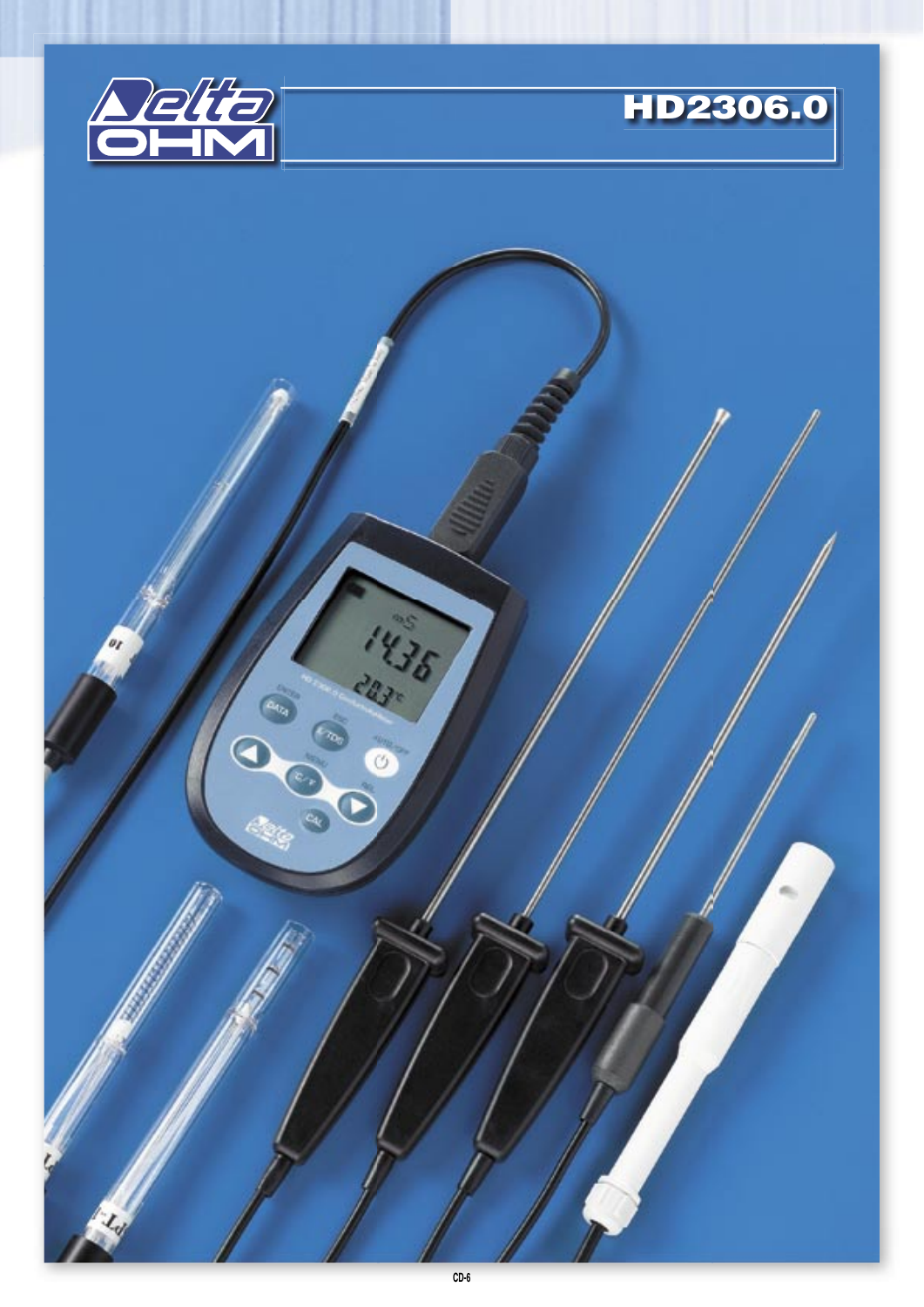



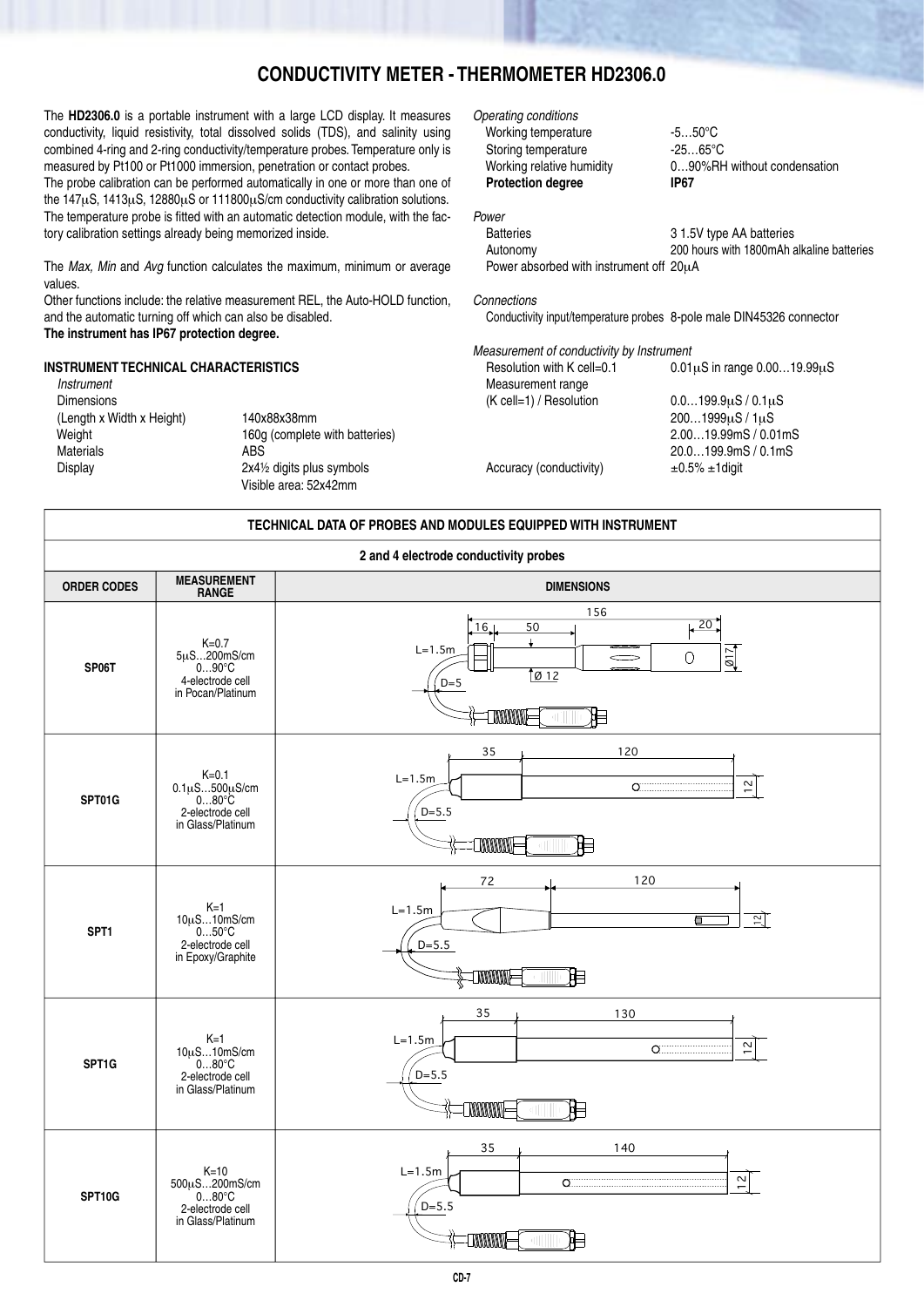# **CONDUCTIVITY METER - THERMOMETER HD2306.0**

The **HD2306.0** is a portable instrument with a large LCD display. It measures conductivity, liquid resistivity, total dissolved solids (TDS), and salinity using combined 4-ring and 2-ring conductivity/temperature probes. Temperature only is measured by Pt100 or Pt1000 immersion, penetration or contact probes.

The probe calibration can be performed automatically in one or more than one of the 147μS, 1413μS, 12880μS or 111800μS/cm conductivity calibration solutions. The temperature probe is fitted with an automatic detection module, with the factory calibration settings already being memorized inside.

The *Max. Min* and *Avg* function calculates the maximum, minimum or average values.

Other functions include: the relative measurement REL, the Auto-HOLD function, and the automatic turning off which can also be disabled.

# **The instrument has IP67 protection degree.**

# **INSTRUMENT TECHNICAL CHARACTERISTICS**

Instrument Dimensions (Length x Width x Height) 140x88x38mm Weight 160g (complete with batteries) Materials ABS<br>Display 2x41/ 2x41⁄2 digits plus symbols Visible area: 52x42mm

Operating conditions Working temperature -5...50°C<br>Storing temperature -25...65°C Storing temperature<br>Working relative humidity **Protection degree IP67**

0...90%RH without condensation

## Batteries 31.5V type AA batteries<br>
200 hours with 1800mAh and 200 hours with 1800mAh 200 hours with 1800mAh alkaline batteries Power absorbed with instrument off 20μA

### Connections

Power

Conductivity input/temperature probes 8-pole male DIN45326 connector

# Measurement of conductivity by Instrument

| Resolution with K cell=0.1 | $0.01\mu S$ in range $0.0019.99\mu S$ |
|----------------------------|---------------------------------------|
| Measurement range          |                                       |
| (K cell=1) / Resolution    | $0.0199.9\mu S/0.1\mu S$              |
|                            | $2001999\mu S/1\mu S$                 |
|                            | 2.0019.99mS / 0.01mS                  |
|                            | 20.0199.9mS / 0.1mS                   |
| Accuracy (conductivity)    | $\pm 0.5\% \pm 1$ digit               |
|                            |                                       |

| TECHNICAL DATA OF PROBES AND MODULES EQUIPPED WITH INSTRUMENT |                                                                                                 |                                                                                                                                                                                                                                                                                                                                                                     |  |  |
|---------------------------------------------------------------|-------------------------------------------------------------------------------------------------|---------------------------------------------------------------------------------------------------------------------------------------------------------------------------------------------------------------------------------------------------------------------------------------------------------------------------------------------------------------------|--|--|
| 2 and 4 electrode conductivity probes                         |                                                                                                 |                                                                                                                                                                                                                                                                                                                                                                     |  |  |
| <b>ORDER CODES</b>                                            | <b>MEASUREMENT</b><br><b>RANGE</b>                                                              | <b>DIMENSIONS</b>                                                                                                                                                                                                                                                                                                                                                   |  |  |
| SP06T                                                         | $K=0.7$<br>$5\mu$ S200mS/cm<br>$090^{\circ}C$<br>4-electrode cell<br>in Pocan/Platinum          | 156<br>$\frac{20}{2}$<br>16 <sub>l</sub><br>50<br>$\mathbf{I}$<br>$L=1.5m$<br>217<br>$\bigcirc$<br>$\overline{\phantom{a}}$<br>$\sqrt{012}$<br>$D=5$<br><b>EXAMPLE</b><br>拒<br>41. 11                                                                                                                                                                               |  |  |
| SPT01G                                                        | $K=0.1$<br>$0.1 \mu S 500 \mu S/cm$<br>$0 80^{\circ}C$<br>2-electrode cell<br>in Glass/Platinum | 35<br>120<br>$L=1.5m$<br>$\circ$ . The set of $\circ$<br>$\overline{1}$<br>$D = 5.5$<br><b>MMMT</b><br>⊫                                                                                                                                                                                                                                                            |  |  |
| SPT1                                                          | $K=1$<br>$10\mu$ S10mS/cm<br>050°C<br>2-electrode cell<br>in Epoxy/Graphite                     | 120<br>72<br>$L=1.5m$<br>의<br>€<br>$D = 5.5$<br><b>TANANATE</b><br>胆                                                                                                                                                                                                                                                                                                |  |  |
| SPT1G                                                         | $K=1$<br>10µS10mS/cm<br>080°C<br>2-electrode cell<br>in Glass/Platinum                          | 130<br>35<br>$L=1.5m$<br>$\sim$<br>$\overline{\phantom{0}}$<br>$D = 5.5$<br><b>TANANAT</b><br>昛<br>$\mathcal{C}[\mathcal{A}]$ .                                                                                                                                                                                                                                     |  |  |
| SPT10G                                                        | $K=10$<br>$500\mu$ S200mS/cm<br>080°C<br>2-electrode cell<br>in Glass/Platinum                  | 35<br>140<br>$L=1.5m$<br>12<br>$\circ$ . The set of the set of the set of the set of the set of the set of the set of the set of the set of the set of the set of the set of the set of the set of the set of the set of the set of the set of the set of the s<br>$D = 5.5$<br><b>TANANAL</b><br>泪<br>$\left(\begin{array}{ccc} 1 & 1 \\ 1 & 1 \end{array}\right)$ |  |  |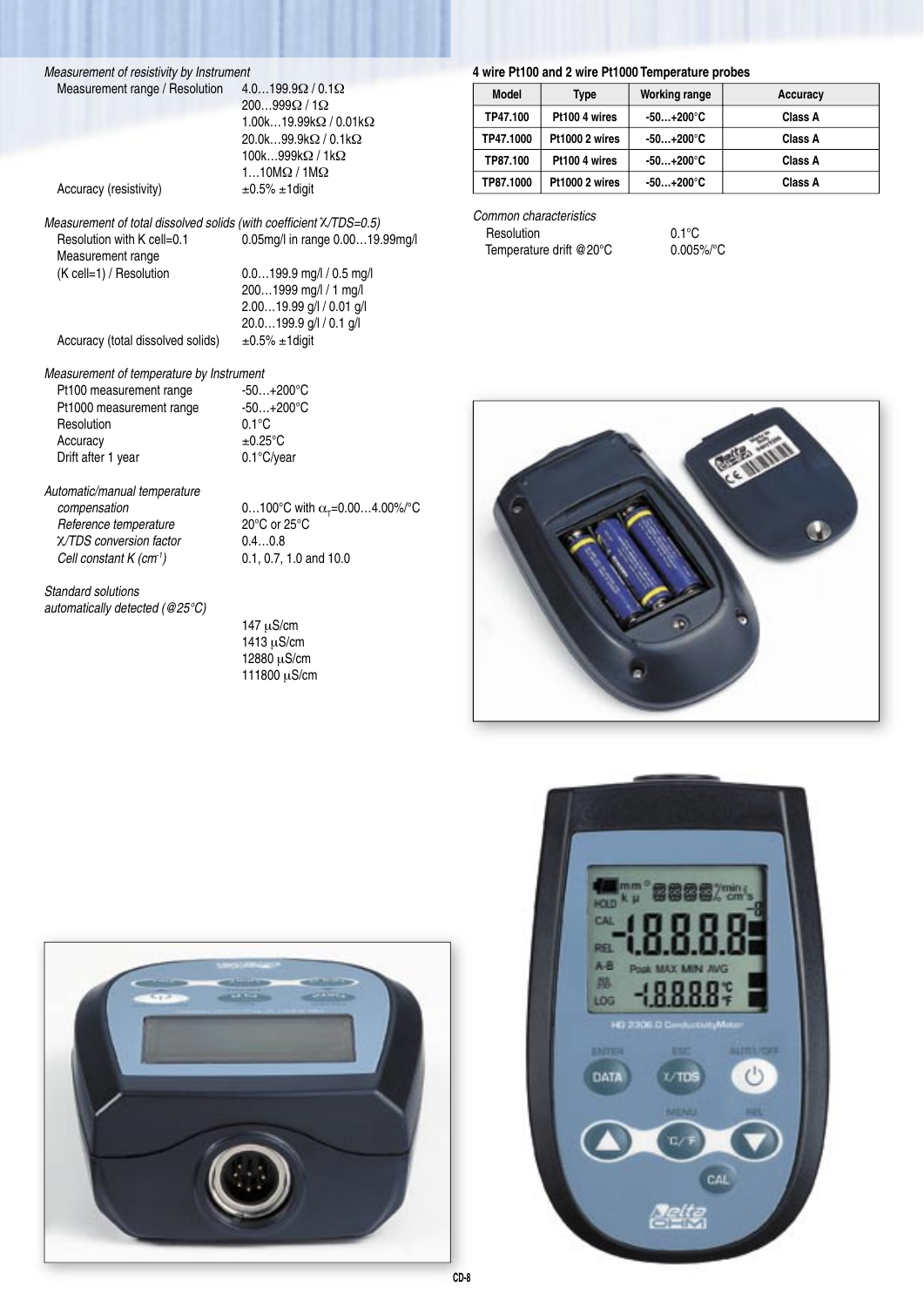Measurement of resistivity by Instrument<br>Measurement range / Resolution  $4.0...199.9\Omega / 0.1\Omega$ Measurement range / Resolution

 200…999Ω / 1Ω 1.00k…19.99kΩ / 0.01kΩ 20.0k…99.9kΩ / 0.1kΩ 100k…999kΩ / 1kΩ 1…10MΩ / 1MΩ

 2.00…19.99 g/l / 0.01 g/l 20.0…199.9 g/l / 0.1 g/l

Accuracy (resistivity)  $\pm 0.5\% \pm 1$  digit

Measurement of total dissolved solids (with coefficient  $X/TDS=0.5$ ) Resolution with K cell=0.1 0.05mg/l in range 0.00...19.99mg/l Measurement range (K cell=1) / Resolution 0.0…199.9 mg/l / 0.5 mg/l 200…1999 mg/l / 1 mg/l

Accuracy (total dissolved solids)  $\pm 0.5\% \pm 1$  digit

# Measurement of temperature by Instrument<br>Pt100 measurement range  $-50...+200^{\circ}C$

Pt100 measurement range  $-50...+200^{\circ}$ C<br>Pt1000 measurement range  $-50...+200^{\circ}$ C Pt1000 measurement range -50...<br>Resolution 0.1°C Resolution Accuracy  $\pm 0.25^{\circ}$ C<br>Drift after 1 year 0.1°C/year Drift after 1 year

Automatic/manual temperature *compensation*  $0...100^{\circ}$ C with  $\alpha_{\tau}$ =0.00...4.00%/°C Reference temperature 20°C or 25°C<br>
X/TDS conversion factor 0.4...0.8 χ/TDS conversion factor 0.4…0.8 Cell constant  $K$  (cm<sup>-1</sup>) 0.1, 0.7, 1.0 and 10.0

Standard solutions automatically detected (@25°C)

 147 μS/cm 1413 μS/cm 12880 μS/cm 111800 μS/cm

## **4 wire Pt100 and 2 wire Pt1000 Temperature probes**

| Model     | Type           | Working range       | Accuracy |
|-----------|----------------|---------------------|----------|
| TP47.100  | Pt100 4 wires  | $-50+200^{\circ}$ C | Class A  |
| TP47.1000 | Pt1000 2 wires | $-50+200^{\circ}$ C | Class A  |
| TP87.100  | Pt100 4 wires  | $-50+200^{\circ}$ C | Class A  |
| TP87.1000 | Pt1000 2 wires | $-50+200^{\circ}$ C | Class A  |

Common characteristics Resolution 0.1°C Temperature drift @20°C 0.005%/°C